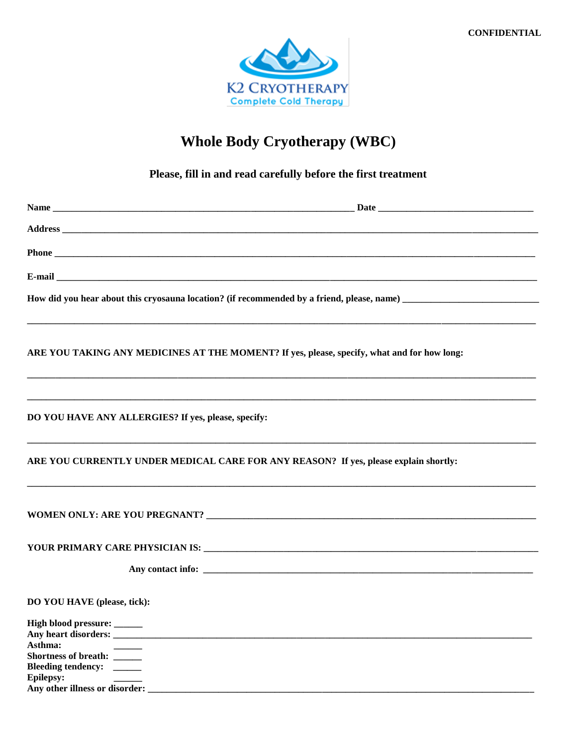

# **Whole Body Cryotherapy (WBC)**

## Please, fill in and read carefully before the first treatment

|                                                     | ARE YOU TAKING ANY MEDICINES AT THE MOMENT? If yes, please, specify, what and for how long: |
|-----------------------------------------------------|---------------------------------------------------------------------------------------------|
| DO YOU HAVE ANY ALLERGIES? If yes, please, specify: |                                                                                             |
|                                                     | ARE YOU CURRENTLY UNDER MEDICAL CARE FOR ANY REASON? If yes, please explain shortly:        |
|                                                     |                                                                                             |
|                                                     |                                                                                             |
|                                                     |                                                                                             |
| DO YOU HAVE (please, tick):                         |                                                                                             |
| High blood pressure: _____                          |                                                                                             |
| Asthma:<br>Shortness of breath: ______              |                                                                                             |
| Bleeding tendency: _____<br><b>Epilepsy:</b>        |                                                                                             |
| Any other illness or disorder:                      |                                                                                             |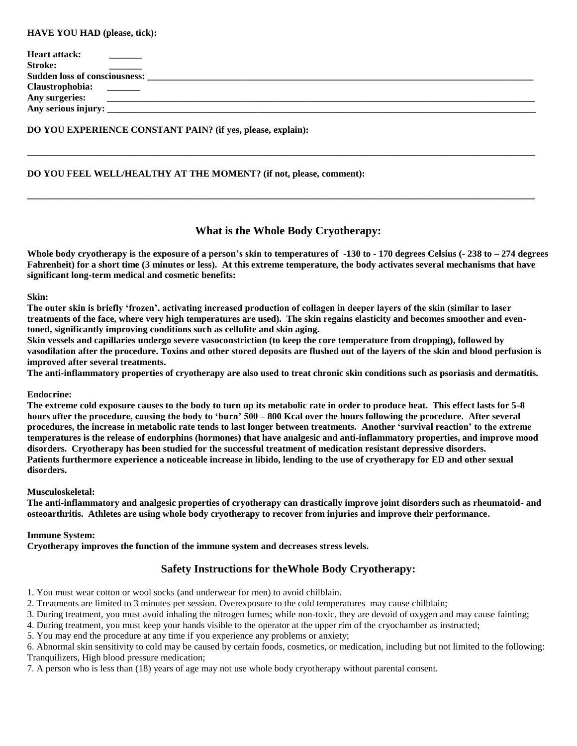#### **HAVE YOU HAD (please, tick):**

| <b>Heart attack:</b>                 |  |  |
|--------------------------------------|--|--|
| <b>Stroke:</b>                       |  |  |
| <b>Sudden loss of consciousness:</b> |  |  |
| Claustrophobia:                      |  |  |
| Any surgeries:                       |  |  |
| Any serious injury:                  |  |  |
|                                      |  |  |

**\_\_\_\_\_\_\_\_\_\_\_\_\_\_\_\_\_\_\_\_\_\_\_\_\_\_\_\_\_\_\_\_\_\_\_\_\_\_\_\_\_\_\_\_\_\_\_\_\_\_\_\_\_\_\_\_\_\_\_\_\_\_\_\_\_\_\_\_\_\_\_\_\_\_\_\_\_\_\_\_\_\_\_\_\_\_\_\_\_\_\_\_\_\_\_\_\_\_\_\_\_\_\_\_\_\_\_\_**

**\_\_\_\_\_\_\_\_\_\_\_\_\_\_\_\_\_\_\_\_\_\_\_\_\_\_\_\_\_\_\_\_\_\_\_\_\_\_\_\_\_\_\_\_\_\_\_\_\_\_\_\_\_\_\_\_\_\_\_\_\_\_\_\_\_\_\_\_\_\_\_\_\_\_\_\_\_\_\_\_\_\_\_\_\_\_\_\_\_\_\_\_\_\_\_\_\_\_\_\_\_\_\_\_\_\_\_\_**

## **DO YOU EXPERIENCE CONSTANT PAIN? (if yes, please, explain):**

#### **DO YOU FEEL WELL/HEALTHY AT THE MOMENT? (if not, please, comment):**

#### **What is the Whole Body Cryotherapy:**

**Whole body cryotherapy is the exposure of a person's skin to temperatures of -130 to - 170 degrees Celsius (- 238 to – 274 degrees Fahrenheit) for a short time (3 minutes or less). At this extreme temperature, the body activates several mechanisms that have significant long-term medical and cosmetic benefits:**

#### **Skin:**

**The outer skin is briefly 'frozen', activating increased production of collagen in deeper layers of the skin (similar to laser treatments of the face, where very high temperatures are used). The skin regains elasticity and becomes smoother and eventoned, significantly improving conditions such as cellulite and skin aging.** 

**Skin vessels and capillaries undergo severe vasoconstriction (to keep the core temperature from dropping), followed by vasodilation after the procedure. Toxins and other stored deposits are flushed out of the layers of the skin and blood perfusion is improved after several treatments.**

**The anti-inflammatory properties of cryotherapy are also used to treat chronic skin conditions such as psoriasis and dermatitis.** 

#### **Endocrine:**

**The extreme cold exposure causes to the body to turn up its metabolic rate in order to produce heat. This effect lasts for 5-8 hours after the procedure, causing the body to 'burn' 500 – 800 Kcal over the hours following the procedure. After several procedures, the increase in metabolic rate tends to last longer between treatments. Another 'survival reaction' to the extreme temperatures is the release of endorphins (hormones) that have analgesic and anti-inflammatory properties, and improve mood disorders. Cryotherapy has been studied for the successful treatment of medication resistant depressive disorders. Patients furthermore experience a noticeable increase in libido, lending to the use of cryotherapy for ED and other sexual disorders.** 

#### **Musculoskeletal:**

**The anti-inflammatory and analgesic properties of cryotherapy can drastically improve joint disorders such as rheumatoid- and osteoarthritis. Athletes are using whole body cryotherapy to recover from injuries and improve their performance.**

#### **Immune System:**

**Cryotherapy improves the function of the immune system and decreases stress levels.** 

## **Safety Instructions for theWhole Body Cryotherapy:**

- 1. You must wear cotton or wool socks (and underwear for men) to avoid chilblain.
- 2. Treatments are limited to 3 minutes per session. Overexposure to the cold temperatures may cause chilblain;
- 3. During treatment, you must avoid inhaling the nitrogen fumes; while non-toxic, they are devoid of oxygen and may cause fainting;
- 4. During treatment, you must keep your hands visible to the operator at the upper rim of the cryochamber as instructed;
- 5. You may end the procedure at any time if you experience any problems or anxiety;

6. Abnormal skin sensitivity to cold may be caused by certain foods, cosmetics, or medication, including but not limited to the following: Tranquilizers, High blood pressure medication;

7. A person who is less than (18) years of age may not use whole body cryotherapy without parental consent.